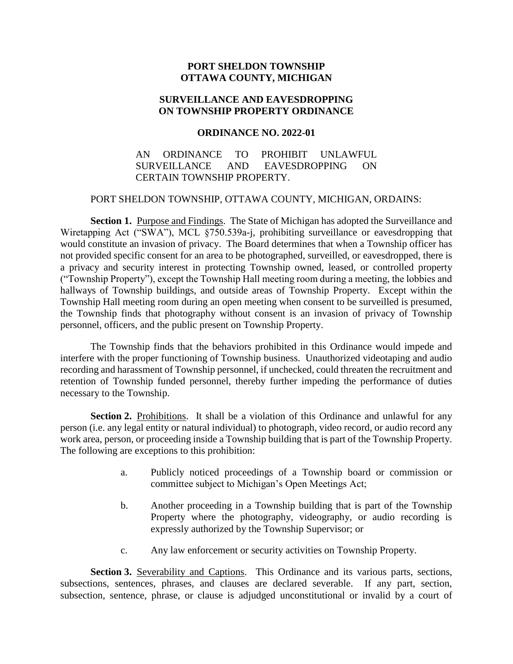# **PORT SHELDON TOWNSHIP OTTAWA COUNTY, MICHIGAN**

## **SURVEILLANCE AND EAVESDROPPING ON TOWNSHIP PROPERTY ORDINANCE**

#### **ORDINANCE NO. 2022-01**

# AN ORDINANCE TO PROHIBIT UNLAWFUL SURVEILLANCE AND EAVESDROPPING ON CERTAIN TOWNSHIP PROPERTY.

### PORT SHELDON TOWNSHIP, OTTAWA COUNTY, MICHIGAN, ORDAINS:

Section 1. Purpose and Findings. The State of Michigan has adopted the Surveillance and Wiretapping Act ("SWA"), MCL §750.539a-j, prohibiting surveillance or eavesdropping that would constitute an invasion of privacy. The Board determines that when a Township officer has not provided specific consent for an area to be photographed, surveilled, or eavesdropped, there is a privacy and security interest in protecting Township owned, leased, or controlled property ("Township Property"), except the Township Hall meeting room during a meeting, the lobbies and hallways of Township buildings, and outside areas of Township Property. Except within the Township Hall meeting room during an open meeting when consent to be surveilled is presumed, the Township finds that photography without consent is an invasion of privacy of Township personnel, officers, and the public present on Township Property.

The Township finds that the behaviors prohibited in this Ordinance would impede and interfere with the proper functioning of Township business. Unauthorized videotaping and audio recording and harassment of Township personnel, if unchecked, could threaten the recruitment and retention of Township funded personnel, thereby further impeding the performance of duties necessary to the Township.

**Section 2.** Prohibitions. It shall be a violation of this Ordinance and unlawful for any person (i.e. any legal entity or natural individual) to photograph, video record, or audio record any work area, person, or proceeding inside a Township building that is part of the Township Property. The following are exceptions to this prohibition:

- a. Publicly noticed proceedings of a Township board or commission or committee subject to Michigan's Open Meetings Act;
- b. Another proceeding in a Township building that is part of the Township Property where the photography, videography, or audio recording is expressly authorized by the Township Supervisor; or
- c. Any law enforcement or security activities on Township Property.

**Section 3.** Severability and Captions. This Ordinance and its various parts, sections, subsections, sentences, phrases, and clauses are declared severable. If any part, section, subsection, sentence, phrase, or clause is adjudged unconstitutional or invalid by a court of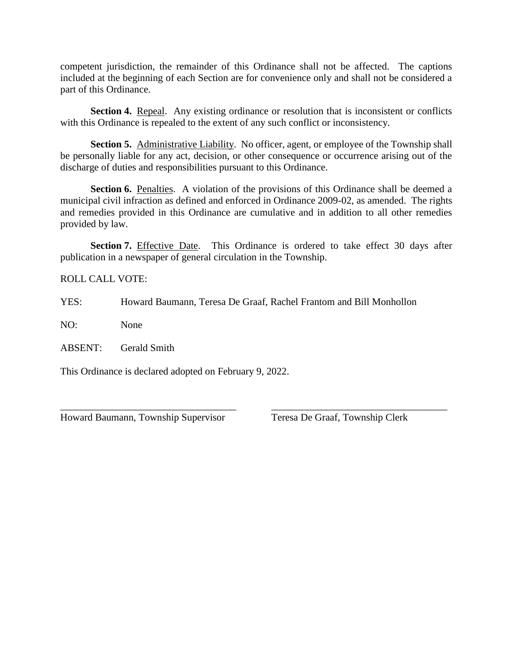competent jurisdiction, the remainder of this Ordinance shall not be affected. The captions included at the beginning of each Section are for convenience only and shall not be considered a part of this Ordinance.

**Section 4.** Repeal. Any existing ordinance or resolution that is inconsistent or conflicts with this Ordinance is repealed to the extent of any such conflict or inconsistency.

**Section 5.** Administrative Liability. No officer, agent, or employee of the Township shall be personally liable for any act, decision, or other consequence or occurrence arising out of the discharge of duties and responsibilities pursuant to this Ordinance.

Section 6. Penalties. A violation of the provisions of this Ordinance shall be deemed a municipal civil infraction as defined and enforced in Ordinance 2009-02, as amended. The rights and remedies provided in this Ordinance are cumulative and in addition to all other remedies provided by law.

**Section 7.** Effective Date. This Ordinance is ordered to take effect 30 days after publication in a newspaper of general circulation in the Township.

\_\_\_\_\_\_\_\_\_\_\_\_\_\_\_\_\_\_\_\_\_\_\_\_\_\_\_\_\_\_\_\_\_\_\_ \_\_\_\_\_\_\_\_\_\_\_\_\_\_\_\_\_\_\_\_\_\_\_\_\_\_\_\_\_\_\_\_\_\_\_

ROLL CALL VOTE:

YES: Howard Baumann, Teresa De Graaf, Rachel Frantom and Bill Monhollon

NO: None

ABSENT: Gerald Smith

This Ordinance is declared adopted on February 9, 2022.

Howard Baumann, Township Supervisor Teresa De Graaf, Township Clerk